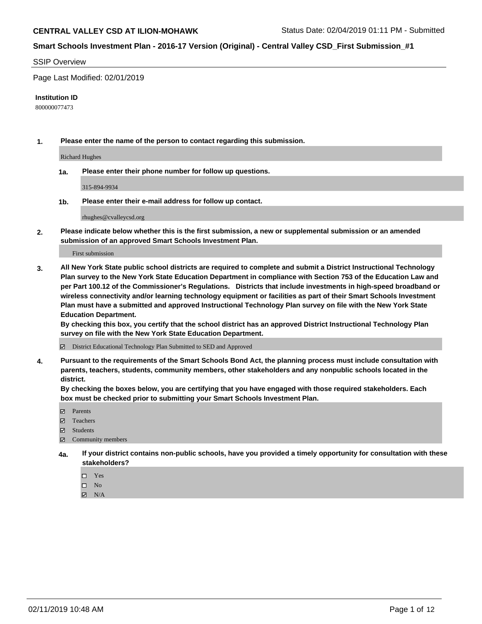#### SSIP Overview

Page Last Modified: 02/01/2019

#### **Institution ID**

800000077473

**1. Please enter the name of the person to contact regarding this submission.**

Richard Hughes

**1a. Please enter their phone number for follow up questions.**

315-894-9934

**1b. Please enter their e-mail address for follow up contact.**

rhughes@cvalleycsd.org

**2. Please indicate below whether this is the first submission, a new or supplemental submission or an amended submission of an approved Smart Schools Investment Plan.**

First submission

**3. All New York State public school districts are required to complete and submit a District Instructional Technology Plan survey to the New York State Education Department in compliance with Section 753 of the Education Law and per Part 100.12 of the Commissioner's Regulations. Districts that include investments in high-speed broadband or wireless connectivity and/or learning technology equipment or facilities as part of their Smart Schools Investment Plan must have a submitted and approved Instructional Technology Plan survey on file with the New York State Education Department.** 

**By checking this box, you certify that the school district has an approved District Instructional Technology Plan survey on file with the New York State Education Department.**

District Educational Technology Plan Submitted to SED and Approved

**4. Pursuant to the requirements of the Smart Schools Bond Act, the planning process must include consultation with parents, teachers, students, community members, other stakeholders and any nonpublic schools located in the district.** 

**By checking the boxes below, you are certifying that you have engaged with those required stakeholders. Each box must be checked prior to submitting your Smart Schools Investment Plan.**

- **□** Parents
- Teachers
- Students
- $\boxtimes$  Community members
- **4a. If your district contains non-public schools, have you provided a timely opportunity for consultation with these stakeholders?**
	- $\Box$  Yes
	- $\qquad \qquad$  No
	- $\blacksquare$  N/A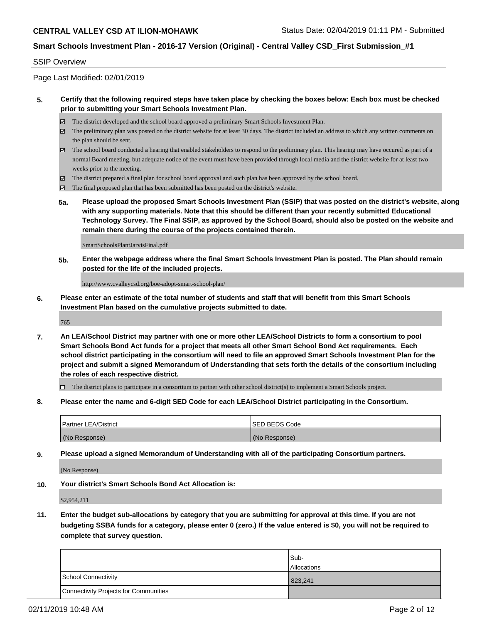#### SSIP Overview

Page Last Modified: 02/01/2019

#### **5. Certify that the following required steps have taken place by checking the boxes below: Each box must be checked prior to submitting your Smart Schools Investment Plan.**

- The district developed and the school board approved a preliminary Smart Schools Investment Plan.
- $\boxtimes$  The preliminary plan was posted on the district website for at least 30 days. The district included an address to which any written comments on the plan should be sent.
- $\boxtimes$  The school board conducted a hearing that enabled stakeholders to respond to the preliminary plan. This hearing may have occured as part of a normal Board meeting, but adequate notice of the event must have been provided through local media and the district website for at least two weeks prior to the meeting.
- The district prepared a final plan for school board approval and such plan has been approved by the school board.
- $\boxtimes$  The final proposed plan that has been submitted has been posted on the district's website.
- **5a. Please upload the proposed Smart Schools Investment Plan (SSIP) that was posted on the district's website, along with any supporting materials. Note that this should be different than your recently submitted Educational Technology Survey. The Final SSIP, as approved by the School Board, should also be posted on the website and remain there during the course of the projects contained therein.**

SmartSchoolsPlantJarvisFinal.pdf

**5b. Enter the webpage address where the final Smart Schools Investment Plan is posted. The Plan should remain posted for the life of the included projects.**

http://www.cvalleycsd.org/boe-adopt-smart-school-plan/

**6. Please enter an estimate of the total number of students and staff that will benefit from this Smart Schools Investment Plan based on the cumulative projects submitted to date.**

765

**7. An LEA/School District may partner with one or more other LEA/School Districts to form a consortium to pool Smart Schools Bond Act funds for a project that meets all other Smart School Bond Act requirements. Each school district participating in the consortium will need to file an approved Smart Schools Investment Plan for the project and submit a signed Memorandum of Understanding that sets forth the details of the consortium including the roles of each respective district.**

 $\Box$  The district plans to participate in a consortium to partner with other school district(s) to implement a Smart Schools project.

**8. Please enter the name and 6-digit SED Code for each LEA/School District participating in the Consortium.**

| <b>Partner LEA/District</b> | ISED BEDS Code |
|-----------------------------|----------------|
| (No Response)               | (No Response)  |

**9. Please upload a signed Memorandum of Understanding with all of the participating Consortium partners.**

(No Response)

**10. Your district's Smart Schools Bond Act Allocation is:**

\$2,954,211

**11. Enter the budget sub-allocations by category that you are submitting for approval at this time. If you are not budgeting SSBA funds for a category, please enter 0 (zero.) If the value entered is \$0, you will not be required to complete that survey question.**

|                                              | Sub-               |
|----------------------------------------------|--------------------|
|                                              | <b>Allocations</b> |
| <b>School Connectivity</b>                   | 823,241            |
| <b>Connectivity Projects for Communities</b> |                    |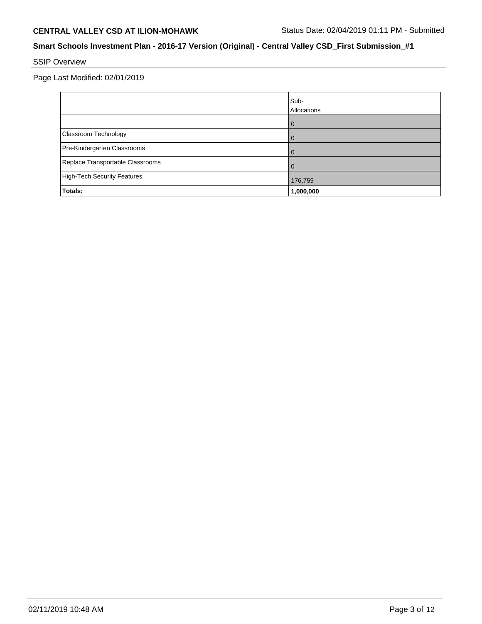# SSIP Overview

Page Last Modified: 02/01/2019

|                                  | Sub-<br>Allocations |
|----------------------------------|---------------------|
|                                  |                     |
| Classroom Technology             |                     |
| Pre-Kindergarten Classrooms      |                     |
| Replace Transportable Classrooms |                     |
| High-Tech Security Features      | 176,759             |
| Totals:                          | 1,000,000           |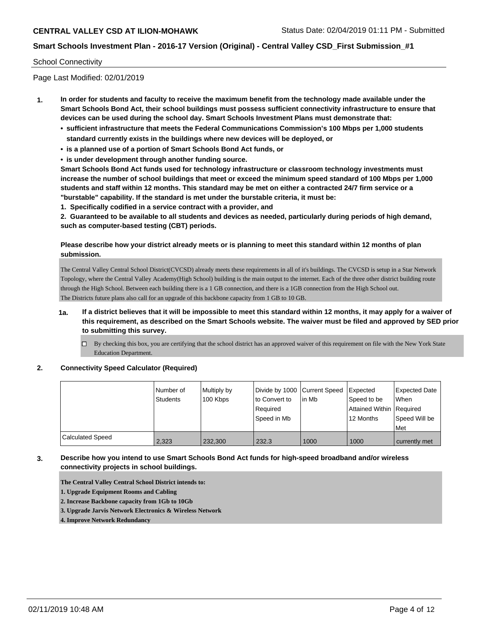#### School Connectivity

Page Last Modified: 02/01/2019

- **1. In order for students and faculty to receive the maximum benefit from the technology made available under the Smart Schools Bond Act, their school buildings must possess sufficient connectivity infrastructure to ensure that devices can be used during the school day. Smart Schools Investment Plans must demonstrate that:**
	- **• sufficient infrastructure that meets the Federal Communications Commission's 100 Mbps per 1,000 students standard currently exists in the buildings where new devices will be deployed, or**
	- **• is a planned use of a portion of Smart Schools Bond Act funds, or**
	- **• is under development through another funding source.**

**Smart Schools Bond Act funds used for technology infrastructure or classroom technology investments must increase the number of school buildings that meet or exceed the minimum speed standard of 100 Mbps per 1,000 students and staff within 12 months. This standard may be met on either a contracted 24/7 firm service or a "burstable" capability. If the standard is met under the burstable criteria, it must be:**

**1. Specifically codified in a service contract with a provider, and**

**2. Guaranteed to be available to all students and devices as needed, particularly during periods of high demand, such as computer-based testing (CBT) periods.**

#### **Please describe how your district already meets or is planning to meet this standard within 12 months of plan submission.**

The Central Valley Central School District(CVCSD) already meets these requirements in all of it's buildings. The CVCSD is setup in a Star Network Topology, where the Central Valley Academy(High School) building is the main output to the internet. Each of the three other district building route through the High School. Between each building there is a 1 GB connection, and there is a 1GB connection from the High School out. The Districts future plans also call for an upgrade of this backbone capacity from 1 GB to 10 GB.

- **1a. If a district believes that it will be impossible to meet this standard within 12 months, it may apply for a waiver of this requirement, as described on the Smart Schools website. The waiver must be filed and approved by SED prior to submitting this survey.**
	- $\Box$  By checking this box, you are certifying that the school district has an approved waiver of this requirement on file with the New York State Education Department.

#### **2. Connectivity Speed Calculator (Required)**

|                         | l Number of<br>Students | Multiply by<br>100 Kbps | Divide by 1000 Current Speed<br>to Convert to<br>Reauired<br>Speed in Mb | lin Mb | <b>I</b> Expected<br>Speed to be<br>Attained Within   Required<br>12 Months | <b>Expected Date</b><br>When<br>Speed Will be<br>Met |
|-------------------------|-------------------------|-------------------------|--------------------------------------------------------------------------|--------|-----------------------------------------------------------------------------|------------------------------------------------------|
| <b>Calculated Speed</b> | 2.323                   | 232,300                 | 232.3                                                                    | 1000   | 1000                                                                        | currently met                                        |

#### **3. Describe how you intend to use Smart Schools Bond Act funds for high-speed broadband and/or wireless connectivity projects in school buildings.**

**The Central Valley Central School District intends to:**

**1. Upgrade Equipment Rooms and Cabling**

**2. Increase Backbone capacity from 1Gb to 10Gb**

**3. Upgrade Jarvis Network Electronics & Wireless Network**

#### **4. Improve Network Redundancy**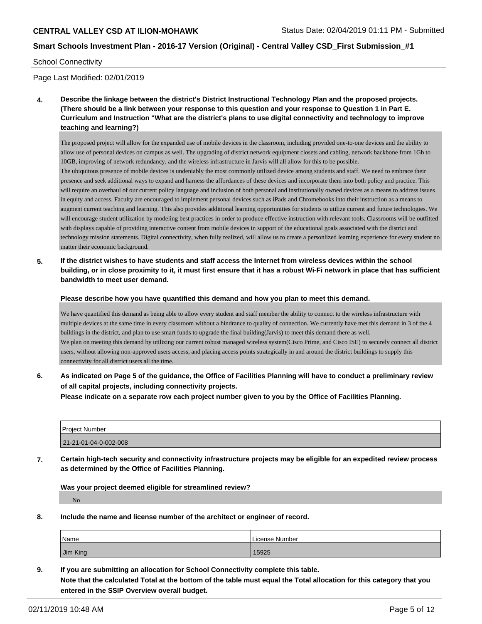#### School Connectivity

Page Last Modified: 02/01/2019

**4. Describe the linkage between the district's District Instructional Technology Plan and the proposed projects. (There should be a link between your response to this question and your response to Question 1 in Part E. Curriculum and Instruction "What are the district's plans to use digital connectivity and technology to improve teaching and learning?)**

The proposed project will allow for the expanded use of mobile devices in the classroom, including provided one-to-one devices and the ability to allow use of personal devices on campus as well. The upgrading of district network equipment closets and cabling, network backbone from 1Gb to 10GB, improving of network redundancy, and the wireless infrastructure in Jarvis will all allow for this to be possible. The ubiquitous presence of mobile devices is undeniably the most commonly utilized device among students and staff. We need to embrace their presence and seek additional ways to expand and harness the affordances of these devices and incorporate them into both policy and practice. This will require an overhaul of our current policy language and inclusion of both personal and institutionally owned devices as a means to address issues in equity and access. Faculty are encouraged to implement personal devices such as iPads and Chromebooks into their instruction as a means to augment current teaching and learning. This also provides additional learning opportunities for students to utilize current and future technologies. We will encourage student utilization by modeling best practices in order to produce effective instruction with relevant tools. Classrooms will be outfitted with displays capable of providing interactive content from mobile devices in support of the educational goals associated with the district and technology mission statements. Digital connectivity, when fully realized, will allow us to create a personlized learning experience for every student no matter their economic background.

**5. If the district wishes to have students and staff access the Internet from wireless devices within the school building, or in close proximity to it, it must first ensure that it has a robust Wi-Fi network in place that has sufficient bandwidth to meet user demand.**

**Please describe how you have quantified this demand and how you plan to meet this demand.**

We have quantified this demand as being able to allow every student and staff member the ability to connect to the wireless infrastructure with multiple devices at the same time in every classroom without a hindrance to quality of connection. We currently have met this demand in 3 of the 4 buildings in the district, and plan to use smart funds to upgrade the final building(Jarvis) to meet this demand there as well. We plan on meeting this demand by utilizing our current robust managed wireless system(Cisco Prime, and Cisco ISE) to securely connect all district users, without allowing non-approved users access, and placing access points strategically in and around the district buildings to supply this connectivity for all district users all the time.

**6. As indicated on Page 5 of the guidance, the Office of Facilities Planning will have to conduct a preliminary review of all capital projects, including connectivity projects.**

**Please indicate on a separate row each project number given to you by the Office of Facilities Planning.**

| l Proiect Number      |  |
|-----------------------|--|
| 21-21-01-04-0-002-008 |  |

**7. Certain high-tech security and connectivity infrastructure projects may be eligible for an expedited review process as determined by the Office of Facilities Planning.**

**Was your project deemed eligible for streamlined review?**

No

**8. Include the name and license number of the architect or engineer of record.**

| Name     | License Number |
|----------|----------------|
| Jim King | 15925          |

**9. If you are submitting an allocation for School Connectivity complete this table. Note that the calculated Total at the bottom of the table must equal the Total allocation for this category that you entered in the SSIP Overview overall budget.**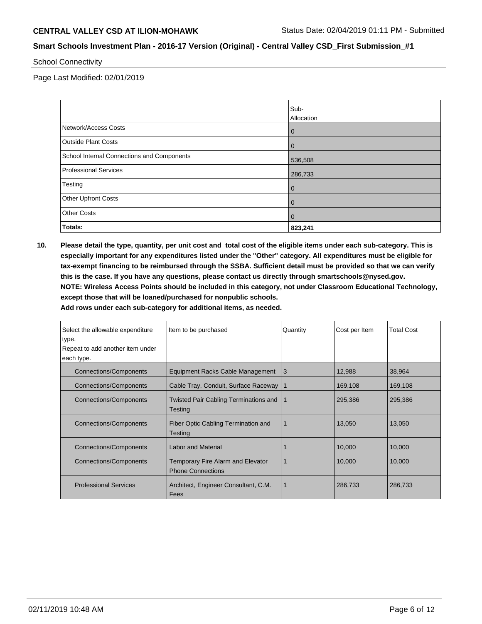School Connectivity

Page Last Modified: 02/01/2019

|                                            | Sub-<br>Allocation |
|--------------------------------------------|--------------------|
| Network/Access Costs                       | $\overline{0}$     |
| <b>Outside Plant Costs</b>                 | $\overline{0}$     |
| School Internal Connections and Components | 536,508            |
| <b>Professional Services</b>               | 286,733            |
| Testing                                    | $\overline{0}$     |
| <b>Other Upfront Costs</b>                 | $\overline{0}$     |
| <b>Other Costs</b>                         | $\overline{0}$     |
| <b>Totals:</b>                             | 823,241            |

**10. Please detail the type, quantity, per unit cost and total cost of the eligible items under each sub-category. This is especially important for any expenditures listed under the "Other" category. All expenditures must be eligible for tax-exempt financing to be reimbursed through the SSBA. Sufficient detail must be provided so that we can verify this is the case. If you have any questions, please contact us directly through smartschools@nysed.gov. NOTE: Wireless Access Points should be included in this category, not under Classroom Educational Technology, except those that will be loaned/purchased for nonpublic schools.**

**Add rows under each sub-category for additional items, as needed.**

| Select the allowable expenditure | Item to be purchased                                          | Quantity       | Cost per Item | <b>Total Cost</b> |
|----------------------------------|---------------------------------------------------------------|----------------|---------------|-------------------|
| type.                            |                                                               |                |               |                   |
| Repeat to add another item under |                                                               |                |               |                   |
| each type.                       |                                                               |                |               |                   |
| <b>Connections/Components</b>    | Equipment Racks Cable Management                              | 3              | 12,988        | 38,964            |
| <b>Connections/Components</b>    | Cable Tray, Conduit, Surface Raceway                          | $\overline{1}$ | 169,108       | 169,108           |
| <b>Connections/Components</b>    | Twisted Pair Cabling Terminations and<br>Testing              | -1             | 295,386       | 295,386           |
| Connections/Components           | Fiber Optic Cabling Termination and<br>Testing                | 1              | 13,050        | 13,050            |
| Connections/Components           | <b>Labor and Material</b>                                     |                | 10,000        | 10,000            |
| Connections/Components           | Temporary Fire Alarm and Elevator<br><b>Phone Connections</b> |                | 10,000        | 10,000            |
| <b>Professional Services</b>     | Architect, Engineer Consultant, C.M.<br>Fees                  |                | 286,733       | 286,733           |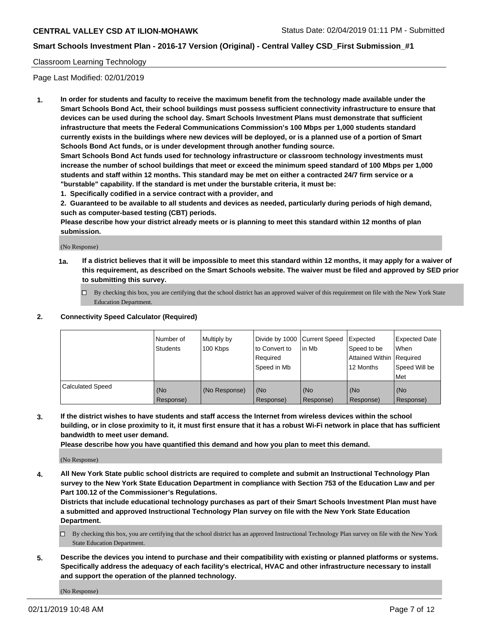## **Smart Schools Investment Plan - 2016-17 Version (Original) - Central Valley CSD\_First Submission\_#1**

#### Classroom Learning Technology

Page Last Modified: 02/01/2019

**1. In order for students and faculty to receive the maximum benefit from the technology made available under the Smart Schools Bond Act, their school buildings must possess sufficient connectivity infrastructure to ensure that devices can be used during the school day. Smart Schools Investment Plans must demonstrate that sufficient infrastructure that meets the Federal Communications Commission's 100 Mbps per 1,000 students standard currently exists in the buildings where new devices will be deployed, or is a planned use of a portion of Smart Schools Bond Act funds, or is under development through another funding source.**

**Smart Schools Bond Act funds used for technology infrastructure or classroom technology investments must increase the number of school buildings that meet or exceed the minimum speed standard of 100 Mbps per 1,000 students and staff within 12 months. This standard may be met on either a contracted 24/7 firm service or a "burstable" capability. If the standard is met under the burstable criteria, it must be:**

**1. Specifically codified in a service contract with a provider, and**

**2. Guaranteed to be available to all students and devices as needed, particularly during periods of high demand, such as computer-based testing (CBT) periods.**

**Please describe how your district already meets or is planning to meet this standard within 12 months of plan submission.**

(No Response)

- **1a. If a district believes that it will be impossible to meet this standard within 12 months, it may apply for a waiver of this requirement, as described on the Smart Schools website. The waiver must be filed and approved by SED prior to submitting this survey.**
	- By checking this box, you are certifying that the school district has an approved waiver of this requirement on file with the New York State Education Department.

#### **2. Connectivity Speed Calculator (Required)**

|                         | Number of<br><b>Students</b> | Multiply by<br>100 Kbps | Divide by 1000 Current Speed<br>to Convert to<br>Required<br>l Speed in Mb | lin Mb           | <b>Expected</b><br>Speed to be<br><b>Attained Within Required</b><br>12 Months | <b>Expected Date</b><br>When<br>Speed Will be<br><b>Met</b> |
|-------------------------|------------------------------|-------------------------|----------------------------------------------------------------------------|------------------|--------------------------------------------------------------------------------|-------------------------------------------------------------|
| <b>Calculated Speed</b> | (No<br>Response)             | (No Response)           | (No<br>Response)                                                           | (No<br>Response) | l (No<br>Response)                                                             | (No<br>Response)                                            |

**3. If the district wishes to have students and staff access the Internet from wireless devices within the school building, or in close proximity to it, it must first ensure that it has a robust Wi-Fi network in place that has sufficient bandwidth to meet user demand.**

**Please describe how you have quantified this demand and how you plan to meet this demand.**

(No Response)

**4. All New York State public school districts are required to complete and submit an Instructional Technology Plan survey to the New York State Education Department in compliance with Section 753 of the Education Law and per Part 100.12 of the Commissioner's Regulations.**

**Districts that include educational technology purchases as part of their Smart Schools Investment Plan must have a submitted and approved Instructional Technology Plan survey on file with the New York State Education Department.**

- By checking this box, you are certifying that the school district has an approved Instructional Technology Plan survey on file with the New York State Education Department.
- **5. Describe the devices you intend to purchase and their compatibility with existing or planned platforms or systems. Specifically address the adequacy of each facility's electrical, HVAC and other infrastructure necessary to install and support the operation of the planned technology.**

(No Response)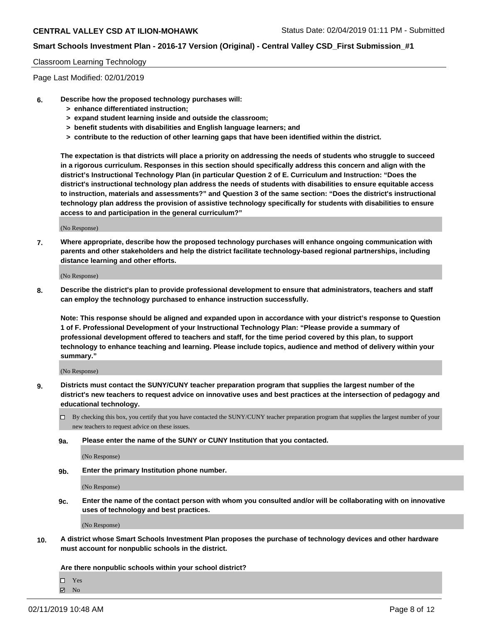# **Smart Schools Investment Plan - 2016-17 Version (Original) - Central Valley CSD\_First Submission\_#1**

## Classroom Learning Technology

Page Last Modified: 02/01/2019

- **6. Describe how the proposed technology purchases will:**
	- **> enhance differentiated instruction;**
	- **> expand student learning inside and outside the classroom;**
	- **> benefit students with disabilities and English language learners; and**
	- **> contribute to the reduction of other learning gaps that have been identified within the district.**

**The expectation is that districts will place a priority on addressing the needs of students who struggle to succeed in a rigorous curriculum. Responses in this section should specifically address this concern and align with the district's Instructional Technology Plan (in particular Question 2 of E. Curriculum and Instruction: "Does the district's instructional technology plan address the needs of students with disabilities to ensure equitable access to instruction, materials and assessments?" and Question 3 of the same section: "Does the district's instructional technology plan address the provision of assistive technology specifically for students with disabilities to ensure access to and participation in the general curriculum?"**

(No Response)

**7. Where appropriate, describe how the proposed technology purchases will enhance ongoing communication with parents and other stakeholders and help the district facilitate technology-based regional partnerships, including distance learning and other efforts.**

(No Response)

**8. Describe the district's plan to provide professional development to ensure that administrators, teachers and staff can employ the technology purchased to enhance instruction successfully.**

**Note: This response should be aligned and expanded upon in accordance with your district's response to Question 1 of F. Professional Development of your Instructional Technology Plan: "Please provide a summary of professional development offered to teachers and staff, for the time period covered by this plan, to support technology to enhance teaching and learning. Please include topics, audience and method of delivery within your summary."**

(No Response)

- **9. Districts must contact the SUNY/CUNY teacher preparation program that supplies the largest number of the district's new teachers to request advice on innovative uses and best practices at the intersection of pedagogy and educational technology.**
	- $\Box$  By checking this box, you certify that you have contacted the SUNY/CUNY teacher preparation program that supplies the largest number of your new teachers to request advice on these issues.
	- **9a. Please enter the name of the SUNY or CUNY Institution that you contacted.**

(No Response)

**9b. Enter the primary Institution phone number.**

(No Response)

**9c. Enter the name of the contact person with whom you consulted and/or will be collaborating with on innovative uses of technology and best practices.**

(No Response)

**10. A district whose Smart Schools Investment Plan proposes the purchase of technology devices and other hardware must account for nonpublic schools in the district.**

**Are there nonpublic schools within your school district?**

Yes

 $\boxtimes$  No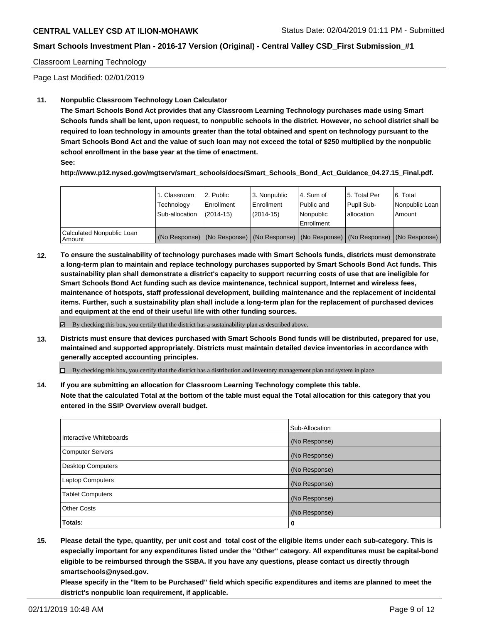## **Smart Schools Investment Plan - 2016-17 Version (Original) - Central Valley CSD\_First Submission\_#1**

#### Classroom Learning Technology

Page Last Modified: 02/01/2019

#### **11. Nonpublic Classroom Technology Loan Calculator**

**The Smart Schools Bond Act provides that any Classroom Learning Technology purchases made using Smart Schools funds shall be lent, upon request, to nonpublic schools in the district. However, no school district shall be required to loan technology in amounts greater than the total obtained and spent on technology pursuant to the Smart Schools Bond Act and the value of such loan may not exceed the total of \$250 multiplied by the nonpublic school enrollment in the base year at the time of enactment.**

**See:**

**http://www.p12.nysed.gov/mgtserv/smart\_schools/docs/Smart\_Schools\_Bond\_Act\_Guidance\_04.27.15\_Final.pdf.**

|                                       | 1. Classroom<br>Technology<br>Sub-allocation | 2. Public<br>l Enrollment<br>$(2014-15)$ | 3. Nonpublic<br>Enrollment<br>$(2014-15)$ | l 4. Sum of<br>Public and<br>l Nonpublic<br>l Enrollment | 15. Total Per<br>Pupil Sub-<br>lallocation | 6. Total<br>Nonpublic Loan  <br>Amount                                                        |
|---------------------------------------|----------------------------------------------|------------------------------------------|-------------------------------------------|----------------------------------------------------------|--------------------------------------------|-----------------------------------------------------------------------------------------------|
| Calculated Nonpublic Loan<br>l Amount |                                              |                                          |                                           |                                                          |                                            | (No Response)   (No Response)   (No Response)   (No Response)   (No Response)   (No Response) |

**12. To ensure the sustainability of technology purchases made with Smart Schools funds, districts must demonstrate a long-term plan to maintain and replace technology purchases supported by Smart Schools Bond Act funds. This sustainability plan shall demonstrate a district's capacity to support recurring costs of use that are ineligible for Smart Schools Bond Act funding such as device maintenance, technical support, Internet and wireless fees, maintenance of hotspots, staff professional development, building maintenance and the replacement of incidental items. Further, such a sustainability plan shall include a long-term plan for the replacement of purchased devices and equipment at the end of their useful life with other funding sources.**

By checking this box, you certify that the district has a sustainability plan as described above.

**13. Districts must ensure that devices purchased with Smart Schools Bond funds will be distributed, prepared for use, maintained and supported appropriately. Districts must maintain detailed device inventories in accordance with generally accepted accounting principles.**

By checking this box, you certify that the district has a distribution and inventory management plan and system in place.

**14. If you are submitting an allocation for Classroom Learning Technology complete this table. Note that the calculated Total at the bottom of the table must equal the Total allocation for this category that you entered in the SSIP Overview overall budget.**

|                          | Sub-Allocation |
|--------------------------|----------------|
| Interactive Whiteboards  | (No Response)  |
| <b>Computer Servers</b>  | (No Response)  |
| <b>Desktop Computers</b> | (No Response)  |
| <b>Laptop Computers</b>  | (No Response)  |
| <b>Tablet Computers</b>  | (No Response)  |
| <b>Other Costs</b>       | (No Response)  |
| Totals:                  | 0              |

**15. Please detail the type, quantity, per unit cost and total cost of the eligible items under each sub-category. This is especially important for any expenditures listed under the "Other" category. All expenditures must be capital-bond eligible to be reimbursed through the SSBA. If you have any questions, please contact us directly through smartschools@nysed.gov.**

**Please specify in the "Item to be Purchased" field which specific expenditures and items are planned to meet the district's nonpublic loan requirement, if applicable.**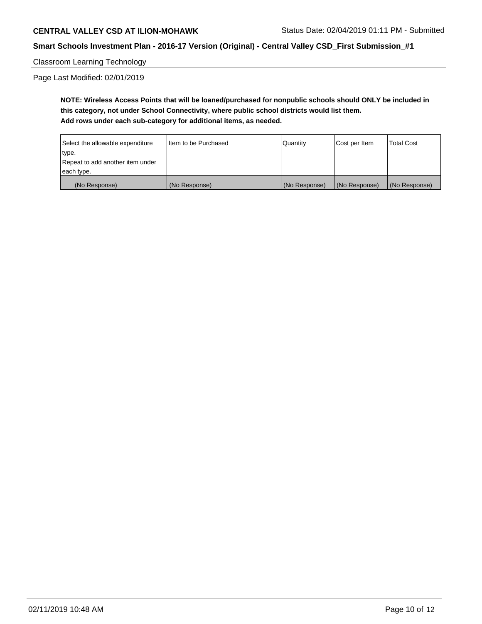## **Smart Schools Investment Plan - 2016-17 Version (Original) - Central Valley CSD\_First Submission\_#1**

## Classroom Learning Technology

Page Last Modified: 02/01/2019

**NOTE: Wireless Access Points that will be loaned/purchased for nonpublic schools should ONLY be included in this category, not under School Connectivity, where public school districts would list them. Add rows under each sub-category for additional items, as needed.**

| Select the allowable expenditure | I Item to be Purchased | Quantity      | Cost per Item | Total Cost    |
|----------------------------------|------------------------|---------------|---------------|---------------|
| type.                            |                        |               |               |               |
| Repeat to add another item under |                        |               |               |               |
| each type.                       |                        |               |               |               |
| (No Response)                    | (No Response)          | (No Response) | (No Response) | (No Response) |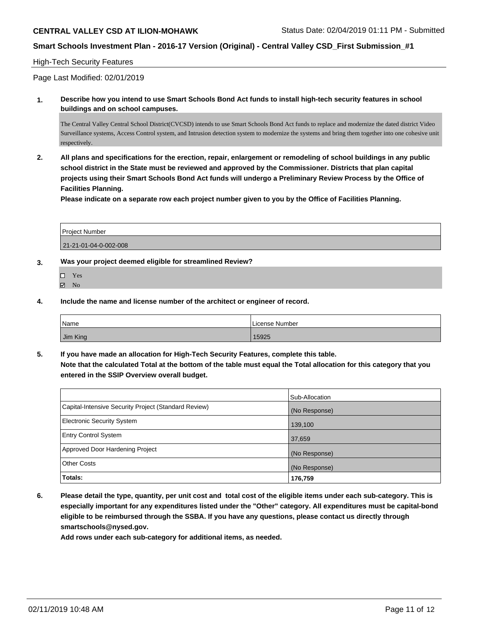## **Smart Schools Investment Plan - 2016-17 Version (Original) - Central Valley CSD\_First Submission\_#1**

#### High-Tech Security Features

Page Last Modified: 02/01/2019

**1. Describe how you intend to use Smart Schools Bond Act funds to install high-tech security features in school buildings and on school campuses.**

The Central Valley Central School District(CVCSD) intends to use Smart Schools Bond Act funds to replace and modernize the dated district Video Surveillance systems, Access Control system, and Intrusion detection system to modernize the systems and bring them together into one cohesive unit respectively.

**2. All plans and specifications for the erection, repair, enlargement or remodeling of school buildings in any public school district in the State must be reviewed and approved by the Commissioner. Districts that plan capital projects using their Smart Schools Bond Act funds will undergo a Preliminary Review Process by the Office of Facilities Planning.** 

**Please indicate on a separate row each project number given to you by the Office of Facilities Planning.**

| Project Number        |  |
|-----------------------|--|
| 21-21-01-04-0-002-008 |  |

- **3. Was your project deemed eligible for streamlined Review?**
	- □ Yes
	- $\boxtimes$  No
- **4. Include the name and license number of the architect or engineer of record.**

| Name     | License Number |
|----------|----------------|
| Jim King | 15925          |

**5. If you have made an allocation for High-Tech Security Features, complete this table. Note that the calculated Total at the bottom of the table must equal the Total allocation for this category that you entered in the SSIP Overview overall budget.**

|                                                      | Sub-Allocation |
|------------------------------------------------------|----------------|
| Capital-Intensive Security Project (Standard Review) | (No Response)  |
| Electronic Security System                           | 139,100        |
| <b>Entry Control System</b>                          | 37,659         |
| Approved Door Hardening Project                      | (No Response)  |
| <b>Other Costs</b>                                   | (No Response)  |
| Totals:                                              | 176,759        |

**6. Please detail the type, quantity, per unit cost and total cost of the eligible items under each sub-category. This is especially important for any expenditures listed under the "Other" category. All expenditures must be capital-bond eligible to be reimbursed through the SSBA. If you have any questions, please contact us directly through smartschools@nysed.gov.**

**Add rows under each sub-category for additional items, as needed.**